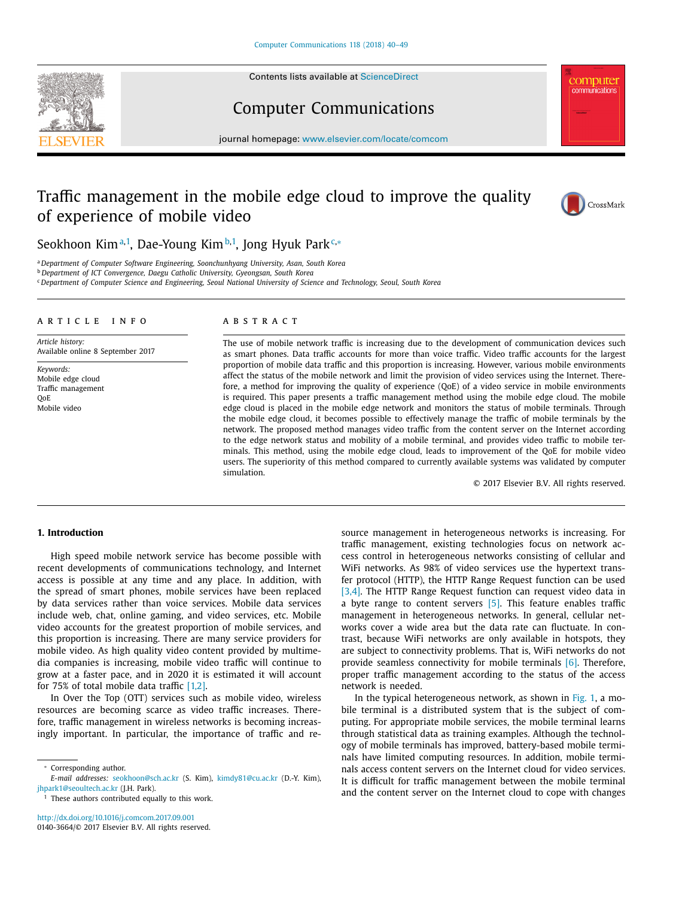Contents lists available at [ScienceDirect](http://www.ScienceDirect.com)





# Computer Communications

journal homepage: [www.elsevier.com/locate/comcom](http://www.elsevier.com/locate/comcom)

# Traffic management in the mobile edge cloud to improve the quality of experience of mobile video



Seokhoon Kim<sup>a,1</sup>, Dae-Young Kim<sup>b,1</sup>, Jong Hyuk Park<sup>c,</sup>\*

<sup>a</sup> *Department of Computer Software Engineering, Soonchunhyang University, Asan, South Korea*

<sup>b</sup> *Department of ICT Convergence, Daegu Catholic University, Gyeongsan, South Korea*

<sup>c</sup> Department of Computer Science and Engineering, Seoul National University of Science and Technology, Seoul, South Korea

#### a r t i c l e i n f o

*Article history:* Available online 8 September 2017

*Keywords:* Mobile edge cloud Traffic management QoE Mobile video

## A B S T R A C T

The use of mobile network traffic is increasing due to the development of communication devices such as smart phones. Data traffic accounts for more than voice traffic. Video traffic accounts for the largest proportion of mobile data traffic and this proportion is increasing. However, various mobile environments affect the status of the mobile network and limit the provision of video services using the Internet. Therefore, a method for improving the quality of experience (QoE) of a video service in mobile environments is required. This paper presents a traffic management method using the mobile edge cloud. The mobile edge cloud is placed in the mobile edge network and monitors the status of mobile terminals. Through the mobile edge cloud, it becomes possible to effectively manage the traffic of mobile terminals by the network. The proposed method manages video traffic from the content server on the Internet according to the edge network status and mobility of a mobile terminal, and provides video traffic to mobile terminals. This method, using the mobile edge cloud, leads to improvement of the QoE for mobile video users. The superiority of this method compared to currently available systems was validated by computer simulation.

© 2017 Elsevier B.V. All rights reserved.

## **1. Introduction**

High speed mobile network service has become possible with recent developments of communications technology, and Internet access is possible at any time and any place. In addition, with the spread of smart phones, mobile services have been replaced by data services rather than voice services. Mobile data services include web, chat, online gaming, and video services, etc. Mobile video accounts for the greatest proportion of mobile services, and this proportion is increasing. There are many service providers for mobile video. As high quality video content provided by multimedia companies is increasing, mobile video traffic will continue to grow at a faster pace, and in 2020 it is estimated it will account for 75% of total mobile data traffic [\[1,2\].](#page--1-0)

In Over the Top (OTT) services such as mobile video, wireless resources are becoming scarce as video traffic increases. Therefore, traffic management in wireless networks is becoming increasingly important. In particular, the importance of traffic and re-

<sup>∗</sup> Corresponding author.

 $1$  These authors contributed equally to this work.

<http://dx.doi.org/10.1016/j.comcom.2017.09.001> 0140-3664/© 2017 Elsevier B.V. All rights reserved. source management in heterogeneous networks is increasing. For traffic management, existing technologies focus on network access control in heterogeneous networks consisting of cellular and WiFi networks. As 98% of video services use the hypertext transfer protocol (HTTP), the HTTP Range Request function can be used [\[3,4\].](#page--1-0) The HTTP Range Request function can request video data in a byte range to content servers  $[5]$ . This feature enables traffic management in heterogeneous networks. In general, cellular networks cover a wide area but the data rate can fluctuate. In contrast, because WiFi networks are only available in hotspots, they are subject to connectivity problems. That is, WiFi networks do not provide seamless connectivity for mobile terminals [\[6\].](#page--1-0) Therefore, proper traffic management according to the status of the access network is needed.

In the typical heterogeneous network, as shown in [Fig.](#page-1-0) 1, a mobile terminal is a distributed system that is the subject of computing. For appropriate mobile services, the mobile terminal learns through statistical data as training examples. Although the technology of mobile terminals has improved, battery-based mobile terminals have limited computing resources. In addition, mobile terminals access content servers on the Internet cloud for video services. It is difficult for traffic management between the mobile terminal and the content server on the Internet cloud to cope with changes

*E-mail addresses:* [seokhoon@sch.ac.kr](mailto:seokhoon@sch.ac.kr) (S. Kim), [kimdy81@cu.ac.kr](mailto:kimdy81@cu.ac.kr) (D.-Y. Kim), [jhpark1@seoultech.ac.kr](mailto:jhpark1@seoultech.ac.kr) (J.H. Park).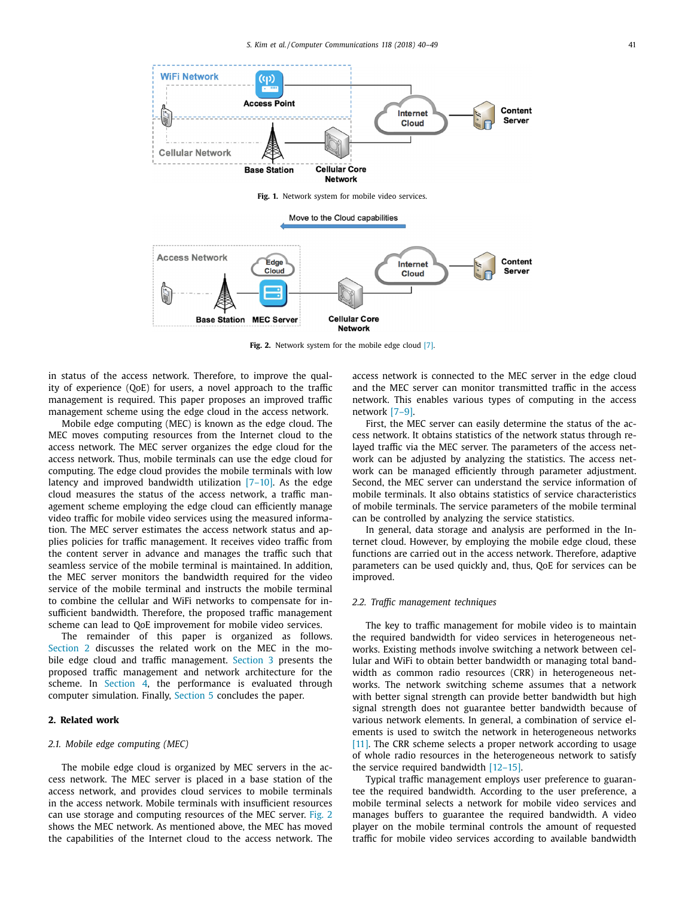<span id="page-1-0"></span>

**Fig. 2.** Network system for the mobile edge cloud [\[7\].](#page--1-0)

in status of the access network. Therefore, to improve the quality of experience (QoE) for users, a novel approach to the traffic management is required. This paper proposes an improved traffic management scheme using the edge cloud in the access network.

Mobile edge computing (MEC) is known as the edge cloud. The MEC moves computing resources from the Internet cloud to the access network. The MEC server organizes the edge cloud for the access network. Thus, mobile terminals can use the edge cloud for computing. The edge cloud provides the mobile terminals with low latency and improved bandwidth utilization  $[7-10]$ . As the edge cloud measures the status of the access network, a traffic management scheme employing the edge cloud can efficiently manage video traffic for mobile video services using the measured information. The MEC server estimates the access network status and applies policies for traffic management. It receives video traffic from the content server in advance and manages the traffic such that seamless service of the mobile terminal is maintained. In addition, the MEC server monitors the bandwidth required for the video service of the mobile terminal and instructs the mobile terminal to combine the cellular and WiFi networks to compensate for insufficient bandwidth. Therefore, the proposed traffic management scheme can lead to QoE improvement for mobile video services.

The remainder of this paper is organized as follows. Section 2 discusses the related work on the MEC in the mo-bile edge cloud and traffic management. [Section](#page--1-0) 3 presents the proposed traffic management and network architecture for the scheme. In [Section](#page--1-0) 4, the performance is evaluated through computer simulation. Finally, [Section](#page--1-0) 5 concludes the paper.

## **2. Related work**

#### *2.1. Mobile edge computing (MEC)*

The mobile edge cloud is organized by MEC servers in the access network. The MEC server is placed in a base station of the access network, and provides cloud services to mobile terminals in the access network. Mobile terminals with insufficient resources can use storage and computing resources of the MEC server. Fig. 2 shows the MEC network. As mentioned above, the MEC has moved the capabilities of the Internet cloud to the access network. The

access network is connected to the MEC server in the edge cloud and the MEC server can monitor transmitted traffic in the access network. This enables various types of computing in the access network [\[7–9\].](#page--1-0)

First, the MEC server can easily determine the status of the access network. It obtains statistics of the network status through relayed traffic via the MEC server. The parameters of the access network can be adjusted by analyzing the statistics. The access network can be managed efficiently through parameter adjustment. Second, the MEC server can understand the service information of mobile terminals. It also obtains statistics of service characteristics of mobile terminals. The service parameters of the mobile terminal can be controlled by analyzing the service statistics.

In general, data storage and analysis are performed in the Internet cloud. However, by employing the mobile edge cloud, these functions are carried out in the access network. Therefore, adaptive parameters can be used quickly and, thus, QoE for services can be improved.

#### *2.2. Traffic management techniques*

The key to traffic management for mobile video is to maintain the required bandwidth for video services in heterogeneous networks. Existing methods involve switching a network between cellular and WiFi to obtain better bandwidth or managing total bandwidth as common radio resources (CRR) in heterogeneous networks. The network switching scheme assumes that a network with better signal strength can provide better bandwidth but high signal strength does not guarantee better bandwidth because of various network elements. In general, a combination of service elements is used to switch the network in heterogeneous networks [\[11\].](#page--1-0) The CRR scheme selects a proper network according to usage of whole radio resources in the heterogeneous network to satisfy the service required bandwidth [\[12–15\].](#page--1-0)

Typical traffic management employs user preference to guarantee the required bandwidth. According to the user preference, a mobile terminal selects a network for mobile video services and manages buffers to guarantee the required bandwidth. A video player on the mobile terminal controls the amount of requested traffic for mobile video services according to available bandwidth